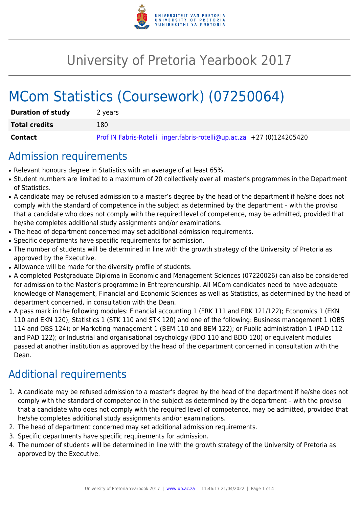

# University of Pretoria Yearbook 2017

# MCom Statistics (Coursework) (07250064)

| <b>Duration of study</b> | 2 years                                                               |
|--------------------------|-----------------------------------------------------------------------|
| <b>Total credits</b>     | 180                                                                   |
| Contact                  | Prof IN Fabris-Rotelli inger.fabris-rotelli@up.ac.za +27 (0)124205420 |

# Admission requirements

- Relevant honours degree in Statistics with an average of at least 65%.
- Student numbers are limited to a maximum of 20 collectively over all master's programmes in the Department of Statistics.
- A candidate may be refused admission to a master's degree by the head of the department if he/she does not comply with the standard of competence in the subject as determined by the department – with the proviso that a candidate who does not comply with the required level of competence, may be admitted, provided that he/she completes additional study assignments and/or examinations.
- The head of department concerned may set additional admission requirements.
- Specific departments have specific requirements for admission.
- The number of students will be determined in line with the growth strategy of the University of Pretoria as approved by the Executive.
- Allowance will be made for the diversity profile of students.
- A completed Postgraduate Diploma in Economic and Management Sciences (07220026) can also be considered for admission to the Master's programme in Entrepreneurship. All MCom candidates need to have adequate knowledge of Management, Financial and Economic Sciences as well as Statistics, as determined by the head of department concerned, in consultation with the Dean.
- A pass mark in the following modules: Financial accounting 1 (FRK 111 and FRK 121/122); Economics 1 (EKN 110 and EKN 120); Statistics 1 (STK 110 and STK 120) and one of the following: Business management 1 (OBS 114 and OBS 124); or Marketing management 1 (BEM 110 and BEM 122); or Public administration 1 (PAD 112 and PAD 122); or Industrial and organisational psychology (BDO 110 and BDO 120) or equivalent modules passed at another institution as approved by the head of the department concerned in consultation with the Dean.

# Additional requirements

- 1. A candidate may be refused admission to a master's degree by the head of the department if he/she does not comply with the standard of competence in the subject as determined by the department – with the proviso that a candidate who does not comply with the required level of competence, may be admitted, provided that he/she completes additional study assignments and/or examinations.
- 2. The head of department concerned may set additional admission requirements.
- 3. Specific departments have specific requirements for admission.
- 4. The number of students will be determined in line with the growth strategy of the University of Pretoria as approved by the Executive.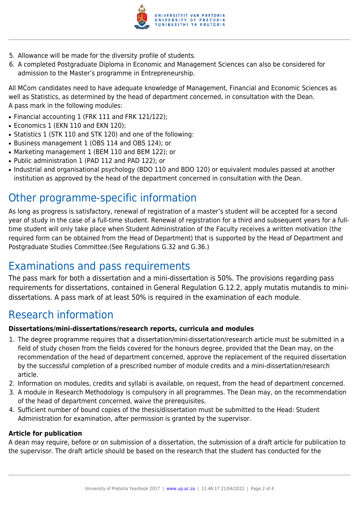

- 5. Allowance will be made for the diversity profile of students.
- 6. A completed Postgraduate Diploma in Economic and Management Sciences can also be considered for admission to the Master's programme in Entrepreneurship.

All MCom candidates need to have adequate knowledge of Management, Financial and Economic Sciences as well as Statistics, as determined by the head of department concerned, in consultation with the Dean. A pass mark in the following modules:

- Financial accounting 1 (FRK 111 and FRK 121/122);
- Economics 1 (EKN 110 and EKN 120);
- Statistics 1 (STK 110 and STK 120) and one of the following:
- Business management 1 (OBS 114 and OBS 124); or
- Marketing management 1 (BEM 110 and BEM 122); or
- Public administration 1 (PAD 112 and PAD 122); or
- Industrial and organisational psychology (BDO 110 and BDO 120) or equivalent modules passed at another institution as approved by the head of the department concerned in consultation with the Dean.

# Other programme-specific information

As long as progress is satisfactory, renewal of registration of a master's student will be accepted for a second year of study in the case of a full-time student. Renewal of registration for a third and subsequent years for a fulltime student will only take place when Student Administration of the Faculty receives a written motivation (the required form can be obtained from the Head of Department) that is supported by the Head of Department and Postgraduate Studies Committee.(See Regulations G.32 and G.36.)

# Examinations and pass requirements

The pass mark for both a dissertation and a mini-dissertation is 50%. The provisions regarding pass requirements for dissertations, contained in General Regulation G.12.2, apply mutatis mutandis to minidissertations. A pass mark of at least 50% is required in the examination of each module.

### Research information

#### **Dissertations/mini-dissertations/research reports, curricula and modules**

- 1. The degree programme requires that a dissertation/mini-dissertation/research article must be submitted in a field of study chosen from the fields covered for the honours degree, provided that the Dean may, on the recommendation of the head of department concerned, approve the replacement of the required dissertation by the successful completion of a prescribed number of module credits and a mini-dissertation/research article.
- 2. Information on modules, credits and syllabi is available, on request, from the head of department concerned.
- 3. A module in Research Methodology is compulsory in all programmes. The Dean may, on the recommendation of the head of department concerned, waive the prerequisites.
- 4. Sufficient number of bound copies of the thesis/dissertation must be submitted to the Head: Student Administration for examination, after permission is granted by the supervisor.

#### **Article for publication**

A dean may require, before or on submission of a dissertation, the submission of a draft article for publication to the supervisor. The draft article should be based on the research that the student has conducted for the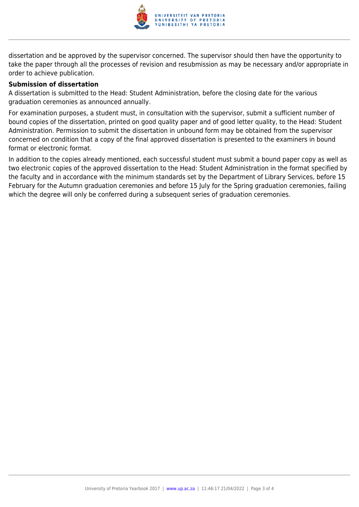

dissertation and be approved by the supervisor concerned. The supervisor should then have the opportunity to take the paper through all the processes of revision and resubmission as may be necessary and/or appropriate in order to achieve publication.

#### **Submission of dissertation**

A dissertation is submitted to the Head: Student Administration, before the closing date for the various graduation ceremonies as announced annually.

For examination purposes, a student must, in consultation with the supervisor, submit a sufficient number of bound copies of the dissertation, printed on good quality paper and of good letter quality, to the Head: Student Administration. Permission to submit the dissertation in unbound form may be obtained from the supervisor concerned on condition that a copy of the final approved dissertation is presented to the examiners in bound format or electronic format.

In addition to the copies already mentioned, each successful student must submit a bound paper copy as well as two electronic copies of the approved dissertation to the Head: Student Administration in the format specified by the faculty and in accordance with the minimum standards set by the Department of Library Services, before 15 February for the Autumn graduation ceremonies and before 15 July for the Spring graduation ceremonies, failing which the degree will only be conferred during a subsequent series of graduation ceremonies.